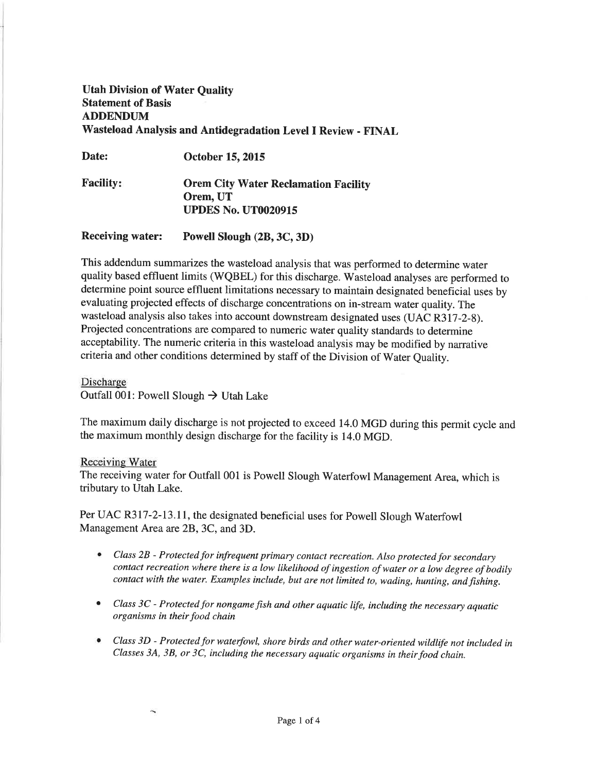# Utah Division of Water Quality Statement of Basis ADDENDUM Wasteload Analysis and Antidegradation Level I Review - FINAL

Date: October 15, 2015

Facility: **Orem City Water Reclamation Facility** Orem, UT UPDES No. UT0020915

Receiving water: Powell Slough (2B, 3C, 3D)

This addendum summarizes the wasteload analysis that was performed to determine water quality based effluent limits (WQBEL) for this discharge. Wasteload analyses are performed to determine point source effluent limitations necessary to maintain designated beneficial uses by evaluating projected effects of discharge concentrations on in-stream water quality. The wasteload analysis also takes into account downstream designated uses (UAC R317-2-8). Projected concentrations are compared to numeric water quality standards to determine acceptability. The numeric criteria in this wasteload analysis may be modified by narrative criteria and other conditions determined by staff of the Division of Water Quality.

Discharge Outfall 001: Powell Slough  $\rightarrow$  Utah Lake

The maximum daily discharge is not projected to exceed 14.0 MGD during this permit cycle and the maximum monthly design discharge for the facility is 14.0 MGD.

# Receiving Water

 $\overline{\phantom{a}}$ 

The receiving water for Outfall 001 is Powell Slough Waterfowl Management Area, which is tributary to Utah Lake.

Per UAC R3I7-2-I3.11, the designated beneficial uses for Powell Slough Waterfowl Management Area are 2B, 3C, and 3D.

- Class  $2B$  Protected for infrequent primary contact recreation. Also protected for secondary contact recreation where there is a low likelihood of ingestion of water or a low degree of bodily contact with the water. Examples include, but are not limited to, wading, hunting, and fishing.
- Class 3C Protected for nongame fish and other aquatic life, including the necessary aquatic organisms in their food chain
- $\bullet$  Class 3D Protected for waterfowl, shore birds and other water-oriented wildlife not included in Classes 3A, 3B, or 3C, including the necessary aquatic organisms in their food chain.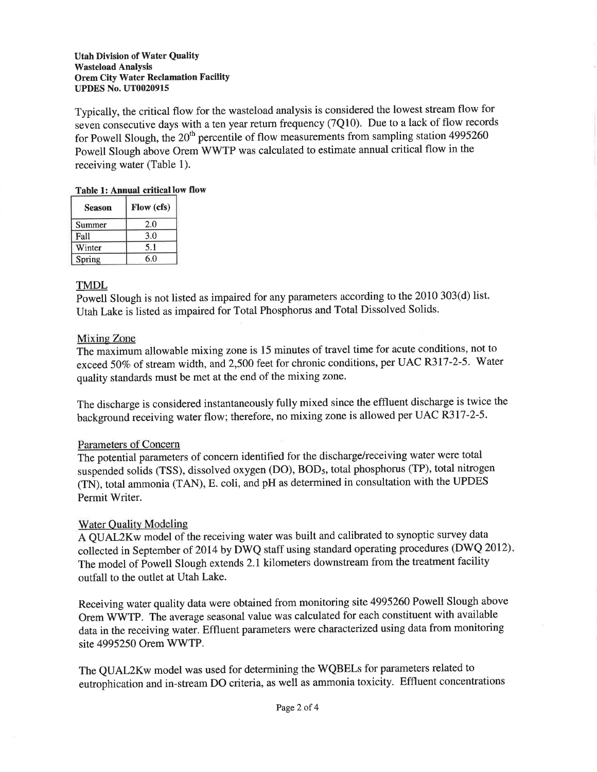## Utah Division of Water Quality Wasteload Analysis Orem City Water Reclamation Facility UPDES No. UT0020915

Typically, the critical flow for the wasteload analysis is considered the lowest stream flow for seven consecutive days with a ten year return frequency (7Q10). Due to a lack of flow records for Powell Slough, the  $20<sup>th</sup>$  percentile of flow measurements from sampling station 4995260 Powell Slough above Orem WWTP was calculated to estimate annual critical flow in the receiving water (Table 1).

# Table 1: Annual critical low flow

| <b>Season</b> | Flow (cfs) |
|---------------|------------|
| Summer        | 2.0        |
| Fall          | 3.0        |
| Winter        | 5.1        |
| Spring        | 6.0        |

# TMDL

Powell Slough is not listed as impaired for any parameters according to the 2010 303(d) list. Utah Lake is listed as impaired for Total Phosphorus and Total Dissolved Solids'

# Mixing Zone

The maximum allowable mixing zone is 15 minutes of travel time for acute conditions, not to exceed 50% of stream width, and 2,500 feet for chronic conditions, per UAC R317-2-5. Water quality standards must be met at the end of the mixing zone.

The discharge is considered instantaneously fully mixed since the effluent discharge is twice the background receiving water flow; therefore, no mixing zone is allowed per UAC R317-2-5.

# Parameters of Concern

The potential parameters of concern identifîed for the discharge/receiving water were total suspended solids (TSS), dissolved oxygen (DO), BOD<sub>5</sub>, total phosphorus (TP), total nitrogen (TN), total ammonia (TAN), E. coli, and pH as determined in consultation with the UPDES Permit Writer.

# Water Quality Modeling

A QUAL2Kw model of the receiving water was built and calibrated to synoptic survey data collected in September of 2014 by DWQ staff using standard operating procedures (DWQ 2012). The model of Powell Slough extends 2.1 kilometers downstream from the treatment facility outfall to the outlet at Utah Lake.

Receiving water quality data were obtained from monitoring site 4995260 Powell Slough above Orem WWTP. The average seasonal value was calculated for each constituent with available data in the receiving water. Effluent parameters were characterized using data from monitoring site 4995250 Orem WWTP.

The QUAL2Kw model was used for determining the WQBELs for parameters related to eutrophication and in-stream DO criteria, as well as ammonia toxicity. Effluent concentrations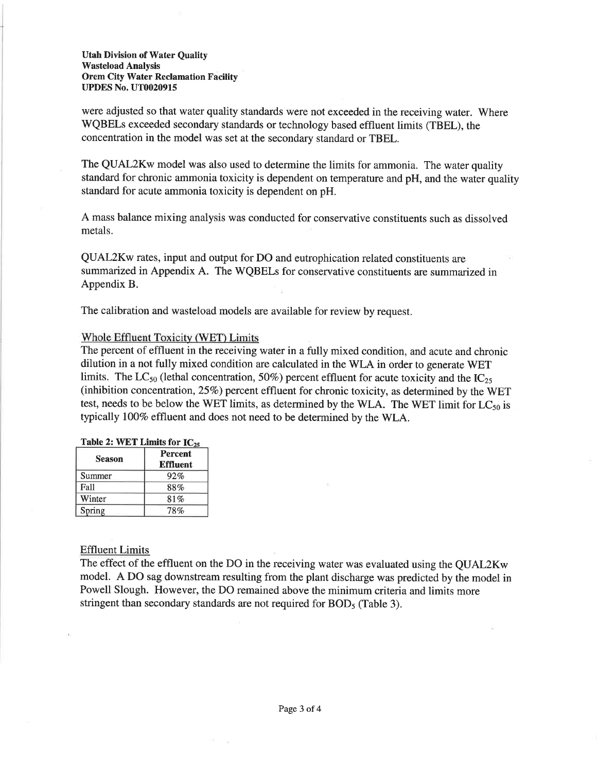Utah Division of Water Quality Wasteload Analysis Orem City Water Reclamation Facility UPDES No. UT0020915

were adjusted so that water quality standards were not exceeded in the receiving water. Where WQBELs exceeded secondary standards or technology based effluent limits (TBEL), the concentration in the model was set at the secondary standard or TBEL.

The QUAL2Kw model was also used to determine the limits for ammonia. The water quality standard for chronic ammonia toxicity is dependent on temperature and pH, and the water quality standard for acute ammonia toxicity is dependent on pH.

A mass balance mixing analysis was conducted for conservative constituents such as dissolved metals.

QUAL2Kw rates, input and output for DO and eutrophication related constituents are summarized in Appendix A. The WQBELs for conservative constituents are summarized in Appendix B.

The calibration and wasteload models are available for review by request.

## Whole Effluent Toxicitv (WET) Limits

The percent of effluent in the receiving water in a fully mixed condition, and acute and chronic dilution in a not fully mixed condition are calculated in the WLA in order to generate WET limits. The LC<sub>50</sub> (lethal concentration, 50%) percent effluent for acute toxicity and the IC<sub>25</sub> (inhibition concentration,  $25\%$ ) percent effluent for chronic toxicity, as determined by the WET test, needs to be below the WET limits, as determined by the WLA. The WET limit for  $LC_{50}$  is typically 100% effluent and does not need to be determined by the WLA.

|  | Table 2: WET Limits for $IC_{25}$ |  |
|--|-----------------------------------|--|
|  |                                   |  |

| <b>Season</b> | Percent<br><b>Effluent</b> |
|---------------|----------------------------|
| Summer        | 92%                        |
| Fall          | 88%                        |
| Winter        | 81%                        |
| Spring        | 78%                        |

## Effluent Limits

The effect of the effluent on the DO in the receiving water was evaluated using the QUAL2Kw model. A DO sag downstream resulting from the plant discharge was predicted by the model in Powell Slough. However, the DO remained above the minimum criteria and limits more stringent than secondary standards are not required for BOD<sub>5</sub> (Table 3).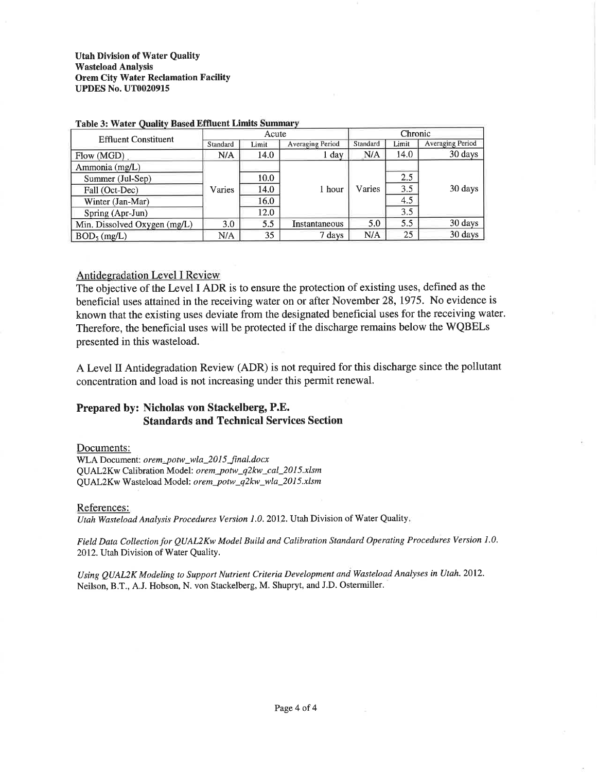## **Utah Division of Water Quality Wasteload Analysis Orem City Water Reclamation Facility UPDES No. UT0020915**

| <b>Effluent Constituent</b>  |          | Acute |                         | Chronic                     |       |                  |
|------------------------------|----------|-------|-------------------------|-----------------------------|-------|------------------|
|                              | Standard | Limit | <b>Averaging Period</b> | Standard                    | Limit | Averaging Period |
| Flow (MGD)                   | N/A      | 14.0  | $1 \text{ day}$         | N/A                         | 14.0  | 30 days          |
| Ammonia (mg/L)               |          |       |                         |                             |       |                  |
| Summer (Jul-Sep)             |          | 10.0  |                         | 2.5<br>3.5<br>Varies<br>4.5 |       |                  |
| Fall (Oct-Dec)               | Varies   | 14.0  | 1 hour                  |                             |       | 30 days          |
| Winter (Jan-Mar)             |          | 16.0  |                         |                             |       |                  |
| Spring (Apr-Jun)             |          | 12.0  |                         |                             | 3.5   |                  |
| Min. Dissolved Oxygen (mg/L) | 3.0      | 5.5   | Instantaneous           | 5.0                         | 5.5   | 30 days          |
| BOD <sub>5</sub> (mg/L)      | N/A      | 35    | 7 days                  | N/A                         | 25    | 30 days          |

#### **Table 3: Water Quality Based Effluent Limits Summary**

## **Antidegradation Level I Review**

The objective of the Level I ADR is to ensure the protection of existing uses, defined as the beneficial uses attained in the receiving water on or after November 28, 1975. No evidence is known that the existing uses deviate from the designated beneficial uses for the receiving water. Therefore, the beneficial uses will be protected if the discharge remains below the WQBELs presented in this wasteload.

A Level II Antidegradation Review (ADR) is not required for this discharge since the pollutant concentration and load is not increasing under this permit renewal.

# Prepared by: Nicholas von Stackelberg, P.E. **Standards and Technical Services Section**

### Documents:

WLA Document: orem\_potw\_wla\_2015\_final.docx QUAL2Kw Calibration Model: orem\_potw\_q2kw\_cal\_2015.xlsm QUAL2Kw Wasteload Model: orem\_potw\_q2kw\_wla\_2015.xlsm

### References:

Utah Wasteload Analysis Procedures Version 1.0. 2012. Utah Division of Water Quality.

Field Data Collection for QUAL2Kw Model Build and Calibration Standard Operating Procedures Version 1.0. 2012. Utah Division of Water Quality.

Using QUAL2K Modeling to Support Nutrient Criteria Development and Wasteload Analyses in Utah. 2012. Neilson, B.T., A.J. Hobson, N. von Stackelberg, M. Shupryt, and J.D. Ostermiller.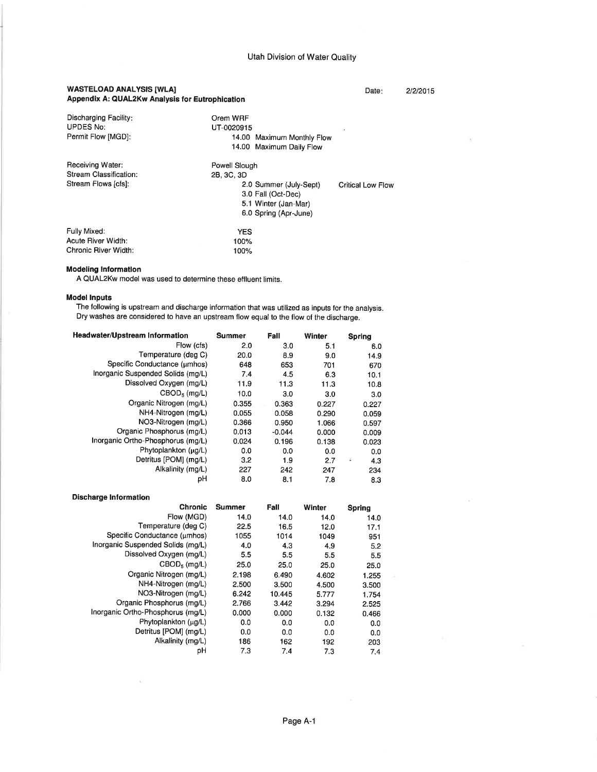### WASTELOAD ANALYSIS [WLA] Appendix A: QUAL2Kw Analysis for Eutrophication

#### Date: 2/2/2015

| Discharging Facility:<br><b>UPDES No:</b><br>Permit Flow [MGD]:   | Orem WRF<br>UT-0020915<br>13<br>14.00 Maximum Monthly Flow<br>14.00 Maximum Daily Flow                                                            |
|-------------------------------------------------------------------|---------------------------------------------------------------------------------------------------------------------------------------------------|
| Receiving Water:<br>Stream Classification:<br>Stream Flows [cfs]: | Powell Slough<br>2B, 3C, 3D<br>2.0 Summer (July-Sept)<br>Critical Low Flow<br>3.0 Fall (Oct-Dec)<br>5.1 Winter (Jan-Mar)<br>6.0 Spring (Apr-June) |
| Fully Mixed:<br>Acute River Width:<br>Chronic River Width:        | <b>YES</b><br>100%<br>100%                                                                                                                        |

## **Modeling Information**

A QUAL2Kw model was used to determine these effluent limits.

#### Model lnputs

The following is upstream and discharge information that was utilized as inputs for the analysis. Dry washes are considered to have an upstream flow equal to the flow of the discharge.

| Headwater/Upstream Information    | <b>Summer</b> | Fall     | Winter |    | <b>Spring</b> |
|-----------------------------------|---------------|----------|--------|----|---------------|
| Flow (cfs)                        | 2.0           | 3.0      | 5.1    |    | 6.0           |
| Temperature (deg C)               | 20.0          | 8.9      | 9.0    |    | 14.9          |
| Specific Conductance (umhos)      | 648           | 653      | 701    |    | 670           |
| Inorganic Suspended Solids (mg/L) | 7.4           | 4.5      | 6.3    |    | 10.1          |
| Dissolved Oxygen (mg/L)           | 11.9          | 11.3     | 11.3   |    | 10.8          |
| $CBOD5$ (mg/L)                    | 10.0          | 3.0      | 3.0    |    | 3.0           |
| Organic Nitrogen (mg/L)           | 0.355         | 0.363    | 0.227  |    | 0.227         |
| NH4-Nitrogen (mg/L)               | 0.055         | 0.058    | 0.290  |    | 0.059         |
| NO3-Nitrogen (mg/L)               | 0.366         | 0.950    | 1.066  |    | 0.597         |
| Organic Phosphorus (mg/L)         | 0.013         | $-0.044$ | 0.000  |    | 0.009         |
| Inorganic Ortho-Phosphorus (mg/L) | 0.024         | 0.196    | 0.138  |    | 0.023         |
| Phytoplankton (µg/L)              | 0.0           | 0.0      | 0.0    |    | 0.0           |
| Detritus [POM] (mg/L)             | 3.2           | 1.9      | 2.7    | ä, | 4.3           |
| Alkalinity (mg/L)                 | 227           | 242      | 247    |    | 234           |
| рH                                | 8.0           | 8.1      | 7.8    |    | 8.3           |

#### **Discharge Information**

 $\ddot{\chi}$ 

| <b>Chronic</b>                    | <b>Summer</b> | Fall   | Winter | Spring |
|-----------------------------------|---------------|--------|--------|--------|
| Flow (MGD)                        | 14.0          | 14.0   | 14.0   | 14.0   |
| Temperature (deg C)               | 22.5          | 16.5   | 12.0   | 17.1   |
| Specific Conductance (umhos)      | 1055          | 1014   | 1049   | 951    |
| Inorganic Suspended Solids (mg/L) | 4.0           | 4.3    | 4.9    | 5.2    |
| Dissolved Oxygen (mg/L)           | 5.5           | 5.5    | 5.5    | 5.5    |
| $CBOD5$ (mg/L)                    | 25.0          | 25.0   | 25.0   | 25.0   |
| Organic Nitrogen (mg/L)           | 2.198         | 6.490  | 4.602  | 1.255  |
| NH4-Nitrogen (mg/L)               | 2.500         | 3.500  | 4.500  | 3.500  |
| NO3-Nitrogen (mg/L)               | 6.242         | 10.445 | 5.777  | 1.754  |
| Organic Phosphorus (mg/L)         | 2.766         | 3.442  | 3.294  | 2.525  |
| Inorganic Ortho-Phosphorus (mg/L) | 0.000         | 0.000  | 0.132  | 0.466  |
| Phytoplankton (µg/L)              | 0.0           | 0.0    | 0.0    | 0.0    |
| Detritus [POM] (mg/L)             | 0.0           | 0.0    | 0.0    | 0.0    |
| Alkalinity (mg/L)                 | 186           | 162    | 192    | 203    |
| рH                                | 7.3           | 7.4    | 7.3    | 7.4    |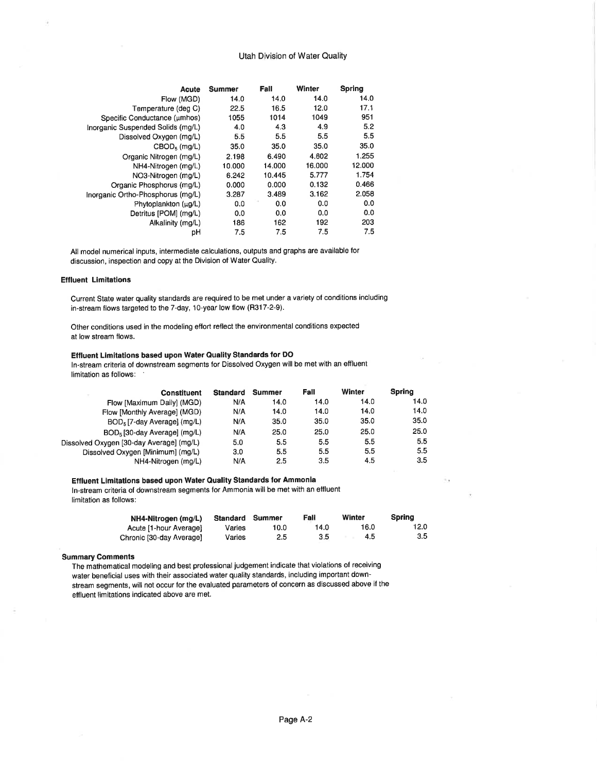#### Utah Division of Water Quality

| Acute                             | Summer | Fall   | Winter | <b>Spring</b> |
|-----------------------------------|--------|--------|--------|---------------|
| Flow (MGD)                        | 14.0   | 14.0   | 14.0   | 14.0          |
| Temperature (deg C)               | 22.5   | 16.5   | 12.0   | 17.1          |
| Specific Conductance (umhos)      | 1055   | 1014   | 1049   | 951           |
| Inorganic Suspended Solids (mg/L) | 4.0    | 4.3    | 4.9    | 5.2           |
| Dissolved Oxygen (mg/L)           | 5.5    | 5.5    | 5.5    | 5.5           |
| $CBOD5$ (mg/L)                    | 35.0   | 35.0   | 35.0   | 35.0          |
| Organic Nitrogen (mg/L)           | 2.198  | 6.490  | 4.602  | 1.255         |
| NH4-Nitrogen (mg/L)               | 10.000 | 14.000 | 16.000 | 12.000        |
| NO3-Nitrogen (mg/L)               | 6.242  | 10.445 | 5.777  | 1.754         |
| Organic Phosphorus (mg/L)         | 0.000  | 0.000  | 0.132  | 0.466         |
| Inorganic Ortho-Phosphorus (mg/L) | 3.287  | 3.489  | 3.162  | 2.058         |
| Phytoplankton (µg/L)              | 0.0    | 0.0    | 0.0    | 0.0           |
| Detritus [POM] (mg/L)             | 0.0    | 0.0    | 0.0    | 0.0           |
| Alkalinity (mg/L)                 | 186    | 162    | 192    | 203           |
| рH                                | 7.5    | 7.5    | 7.5    | 7.5           |

All model numerical inputs, intermediate calculations, outputs and graphs are available for discussion, inspection and copy at the Division of Water Quality.

#### **Effluent Limitations**

Current State water quality standards are required to be met under a variety of conditions including in-stream flows targeted to the 7-day, 10-year low flow (R317-2-9).

Other conditions used in the modeling effort reflect the environmental conditions expected at low stream flows.

#### Effluent Limitations based upon Water Quality Standards for DO

ln-stream criteria of downstream segments for Dissolved Oxygen will be met with an effluent limitation as follows:

| <b>Constituent</b>                       | <b>Standard</b> | Summer | Fall | Winter | Spring |
|------------------------------------------|-----------------|--------|------|--------|--------|
| Flow [Maximum Daily] (MGD)               | N/A             | 14.0   | 14.0 | 14.0   | 14.0   |
| Flow [Monthly Average] (MGD)             | N/A             | 14.0   | 14.0 | 14.0   | 14.0   |
| BOD <sub>5</sub> [7-day Average] (mg/L)  | N/A             | 35.0   | 35.0 | 35.0   | 35.0   |
| BOD <sub>5</sub> [30-day Average] (mg/L) | N/A             | 25.0   | 25.0 | 25.0   | 25.0   |
| Dissolved Oxygen [30-day Average] (mg/L) | 5.0             | 5.5    | 5.5  | 5.5    | 5.5    |
| Dissolved Oxygen [Minimum] (mg/L)        | 3.0             | 5.5    | 5.5  | 5.5    | 5.5    |
| NH4-Nitrogen (mg/L)                      | N/A             | 2.5    | 3.5  | 4.5    | 3.5    |

#### Effluent Limitations based upon Water Quality Standards for Ammonia

ln-stream criteria of downstreám segments for Ammonia will be met with an effluent limitation as follows:

| NH4-Nitrogen (mg/L)      | Standard | Summer | Fall | Winter | Spring |
|--------------------------|----------|--------|------|--------|--------|
| Acute [1-hour Average]   | Varies   | 10.0   | 14.0 | 16.0   | 12.0   |
| Chronic [30-day Average] | Varies   | 2.5    | 3.5  | 4.5    | 3.5    |

#### Summary Comments

The mathematical modeling and best professional judgement indicate that violations of receiving water beneficial uses with their associated water quality standards, including important downstream segments, will not occur for the evaluated parameters of concern as discussed above if the effluent limitations indicated above are met.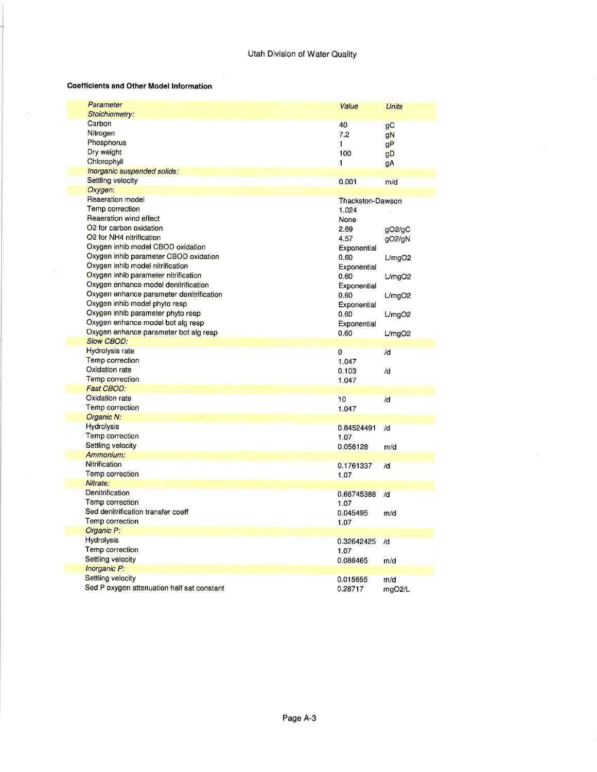#### Coefficients and Other Model lnformation

| Parameter                                  | Value               | <b>Units</b> |
|--------------------------------------------|---------------------|--------------|
| <b>Stoichiometry:</b>                      |                     |              |
| Carbon                                     | 40                  | gC           |
| Nitrogen                                   | 7.2                 | gN           |
| Phosphorus                                 | 1                   | gP           |
| Dry weight                                 | 100                 | gD           |
| Chlorophyll                                | 1                   | gA           |
| Inorganic suspended solids:                |                     |              |
| Settling velocity                          | 0.001               | m/d          |
| Oxygen:                                    |                     |              |
| Reaeration model                           | Thackston-Dawson    |              |
| Temp correction                            | 1.024               |              |
| Reaeration wind effect                     | None                |              |
| O2 for carbon oxidation                    | 2.69                | gO2/gC       |
| O2 for NH4 nitrification                   | 4.57                | gO2/gN       |
| Oxygen inhib model CBOD oxidation          | Exponential         |              |
| Oxygen inhib parameter CBOD oxidation      | 0.60                | L/mqO2       |
| Oxygen inhib model nitrification           |                     |              |
| Oxygen inhib parameter nitrification       | Exponential<br>0.60 |              |
| Oxygen enhance model denitrification       |                     | L/mgO2       |
|                                            | Exponential         |              |
| Oxygen enhance parameter denitrification   | 0.60                | L/mqO2       |
| Oxygen inhib model phyto resp              | Exponential         |              |
| Oxygen inhib parameter phyto resp          | 0.60                | L/mgO2       |
| Oxygen enhance model bot alg resp          | Exponential         |              |
| Oxygen enhance parameter bot alg resp      | 0.60                | L/mgO2       |
| <b>Slow CBOD:</b>                          |                     |              |
| Hydrolysis rate                            | $\overline{0}$      | /d           |
| <b>Temp correction</b>                     | 1.047               |              |
| Oxidation rate                             | 0.103               | /d           |
| Temp correction                            | 1.047               |              |
| <b>Fast CBOD:</b>                          |                     |              |
| Oxidation rate                             | 10                  | /d           |
| Temp correction                            | 1.047               |              |
| Organic N:                                 |                     |              |
| <b>Hydrolysis</b>                          | 0.84524491          | /d           |
| Temp correction                            | 1.07                |              |
| Settling velocity                          | 0.056128            | m/d          |
| Ammonium:                                  |                     |              |
| Nitrification                              | 0.1761337           | /d           |
| <b>Temp correction</b>                     | 1.07                |              |
| Nitrate:                                   |                     |              |
| Denitrification                            | 0.66745388          | /d           |
| Temp correction                            | 1.07                |              |
| Sed denitrification transfer coeff         | 0.045495            | m/d          |
| Temp correction                            |                     |              |
| Organic P:                                 | 1.07                |              |
|                                            |                     |              |
| <b>Hydrolysis</b>                          | 0.32642425          | /d           |
| Temp correction                            | 1.07                |              |
| Settling velocity                          | 0.086465            | m/d          |
| Inorganic P:                               |                     |              |
| Settling velocity                          |                     |              |
| Sed P oxygen attenuation half sat constant | 0.015655            | m/d          |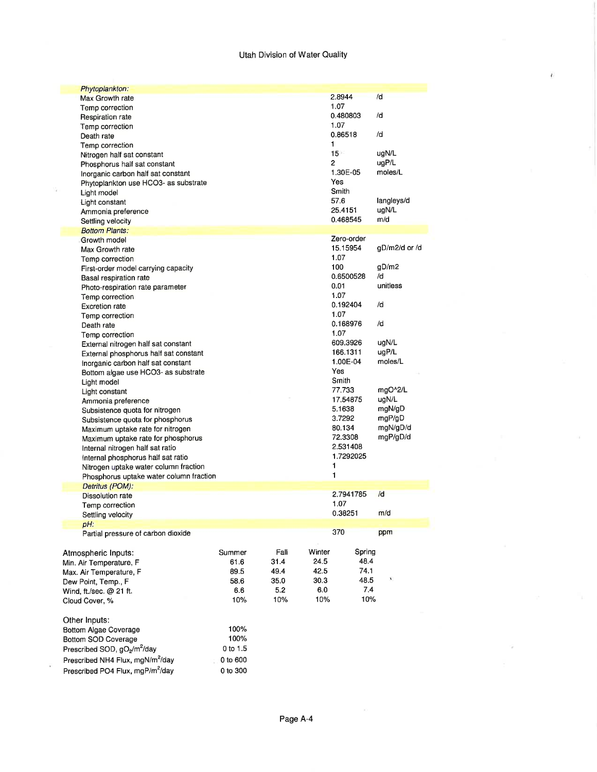## Utah Division of Water Quality

| Phytoplankton:                               |          |      |        |                   |               |
|----------------------------------------------|----------|------|--------|-------------------|---------------|
| Max Growth rate                              |          |      |        | 2.8944            | /d            |
| Temp correction                              |          |      |        | 1.07              |               |
| Respiration rate                             |          |      |        | 0.480803          | /d            |
| Temp correction                              |          |      |        | 1.07              |               |
| Death rate                                   |          |      |        | 0.86518           | /d            |
| Temp correction                              |          |      |        | 1                 |               |
| Nitrogen half sat constant                   |          |      |        | $15 -$            | ugN/L         |
| Phosphorus half sat constant                 |          |      |        | 2                 | uqP/L         |
| Inorganic carbon half sat constant           |          |      |        | 1.30E-05          | moles/L       |
| Phytoplankton use HCO3- as substrate         |          |      |        | Yes               |               |
| Light model                                  |          |      |        | Smith             |               |
| Light constant                               |          |      |        | 57.6              | langleys/d    |
| Ammonia preference                           |          |      |        | 25.4151           | ugN/L         |
| Settling velocity                            |          |      |        | 0.468545          | m/d           |
| <b>Bottom Plants:</b>                        |          |      |        |                   |               |
| Growth model                                 |          |      |        | Zero-order        |               |
| Max Growth rate                              |          |      |        | 15.15954          | gD/m2/d or /d |
| Temp correction                              |          |      |        | 1.07              |               |
| First-order model carrying capacity          |          |      |        | 100               | gD/m2         |
| <b>Basal respiration rate</b>                |          |      |        | 0.6500528         | /d            |
| Photo-respiration rate parameter             |          |      |        | 0.01              | unitless      |
| Temp correction                              |          |      |        | 1.07              |               |
| <b>Excretion rate</b>                        |          |      |        | 0.192404          | /d            |
| Temp correction                              |          |      |        | 1.07              |               |
| Death rate                                   |          |      |        | 0.168976          | /d            |
| Temp correction                              |          |      |        | 1.07              |               |
| External nitrogen half sat constant          |          |      |        | 609.3926          | ugN/L         |
| External phosphorus half sat constant        |          |      |        | 166.1311          | ugP/L         |
|                                              |          |      |        | 1.00E-04          | moles/L       |
| Inorganic carbon half sat constant           |          |      |        | Yes               |               |
| Bottom algae use HCO3- as substrate          |          |      |        | Smith             |               |
| Light model                                  |          |      |        | 77.733            | mgO^2/L       |
| Light constant                               |          |      |        | 17.54875          | ugN/L         |
| Ammonia preference                           |          |      |        | 5.1638            | mgN/gD        |
| Subsistence quota for nitrogen               |          |      |        |                   | mgP/gD        |
| Subsistence quota for phosphorus             |          |      |        | 3.7292<br>80.134  | mgN/gD/d      |
| Maximum uptake rate for nitrogen             |          |      |        |                   | mgP/gD/d      |
| Maximum uptake rate for phosphorus           |          |      |        | 72.3308           |               |
| Internal nitrogen half sat ratio             |          |      |        | 2.531408          |               |
| Internal phosphorus half sat ratio           |          |      |        | 1.7292025         |               |
| Nitrogen uptake water column fraction        |          |      |        | 1<br>1            |               |
| Phosphorus uptake water column fraction      |          |      |        |                   |               |
| Detritus (POM):                              |          |      |        |                   | /d            |
| <b>Dissolution rate</b>                      |          |      |        | 2.7941785<br>1.07 |               |
| Temp correction                              |          |      |        |                   |               |
| Settling velocity                            |          |      |        | 0.38251           | m/d           |
| pH:                                          |          |      |        |                   |               |
| Partial pressure of carbon dioxide           |          |      |        | 370               | ppm           |
|                                              |          |      |        |                   |               |
| Atmospheric Inputs:                          | Summer   | Fall | Winter | Spring            |               |
| Min. Air Temperature, F                      | 61.6     | 31.4 | 24.5   | 48.4              |               |
| Max. Air Temperature, F                      | 89.5     | 49.4 | 42.5   | 74.1              |               |
| Dew Point, Temp., F                          | 58.6     | 35.0 | 30.3   | 48.5              | N,            |
| Wind, ft./sec. @ 21 ft.                      | 6.6      | 5.2  | 6.0    | 7.4               |               |
| Cloud Cover, %                               | 10%      | 10%  | 10%    | 10%               |               |
|                                              |          |      |        |                   |               |
| Other Inputs:                                |          |      |        |                   |               |
| Bottom Algae Coverage                        | 100%     |      |        |                   |               |
| <b>Bottom SOD Coverage</b>                   | 100%     |      |        |                   |               |
| Prescribed SOD, gO2/m <sup>2</sup> /day      | 0 to 1.5 |      |        |                   |               |
| Prescribed NH4 Flux, mgN/m <sup>2</sup> /day | 0 to 600 |      |        |                   |               |
| Prescribed PO4 Flux, mgP/m <sup>2</sup> /day | 0 to 300 |      |        |                   |               |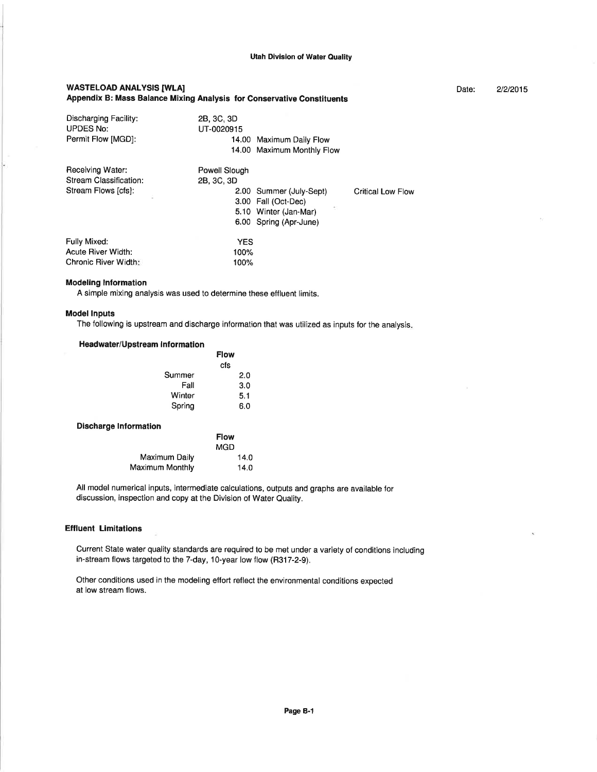Date: 2/2/2015

#### WASTELOAD ANALYSIS IWLAI Appendix B: Mass Balance Mixing Analysis for Conservative Constituents

| Discharging Facility:<br><b>UPDES No:</b><br>Permit Flow [MGD]: | 2B, 3C, 3D<br>UT-0020915 | 14.00 Maximum Daily Flow<br>14.00 Maximum Monthly Flow |                          |
|-----------------------------------------------------------------|--------------------------|--------------------------------------------------------|--------------------------|
| Receiving Water:                                                | Powell Slough            |                                                        |                          |
| Stream Classification:                                          | 2B, 3C, 3D               |                                                        |                          |
| Stream Flows [cfs]:                                             |                          | 2.00 Summer (July-Sept)                                | <b>Critical Low Flow</b> |
|                                                                 |                          | 3.00 Fall (Oct-Dec)                                    |                          |
|                                                                 |                          | 5.10 Winter (Jan-Mar)                                  |                          |
|                                                                 |                          | 6.00 Spring (Apr-June)                                 |                          |
| Fully Mixed:                                                    | <b>YES</b>               |                                                        |                          |
| <b>Acute River Width:</b>                                       | 100%                     |                                                        |                          |
| Chronic River Width:                                            | 100%                     |                                                        |                          |

#### Modeling lnformation

A simple mixing analysis was used to determine these effluent limits.

#### Model lnputs

The following is upstream and discharge information that was utilized as inputs for the analysis

#### Headwater/Upstream Information

|        | <b>Flow</b> |
|--------|-------------|
|        | cfs         |
| Summer | 2.0         |
| Fall   | 3.0         |
| Winter | 5.1         |
| Spring | 6.0         |
|        |             |

#### Discharge Information

|                        | <b>FIOW</b> |
|------------------------|-------------|
|                        | MGD         |
| Maximum Daily          | 14.0        |
| <b>Maximum Monthly</b> | 14.0        |

All model numerical inputs, intermediate calculations, outputs and graphs are available for discussion, inspection and copy at the Division of Water Quality.

 $\mathbf{F}$  is a subset

#### **Effluent Limitations**

Current State water quality standards are required to be met under a variety of conditions including in-stream flows targeted to the 7-day, 10-year low flow (H317-2-9).

Other conditions used in the modeling effort reflect the environmental conditions expected at low stream flows.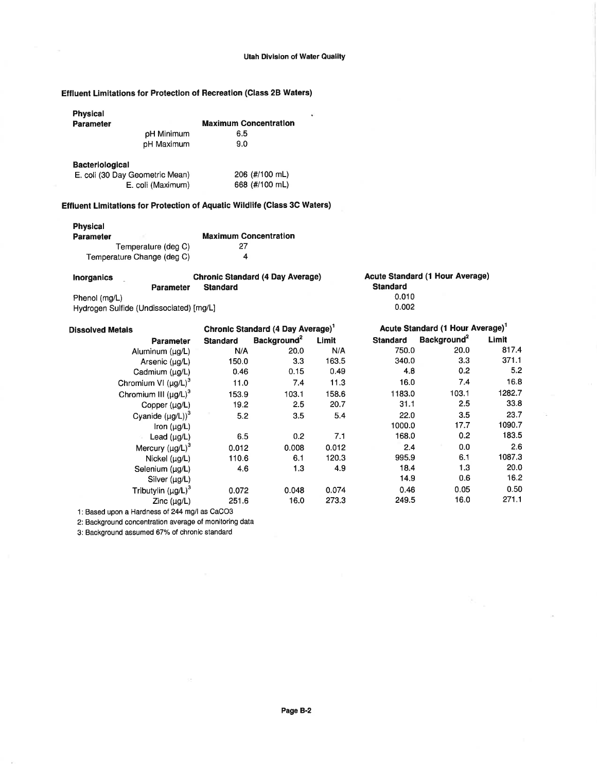¥

## Effluent Limitations for Protection of Recreation (Class 2B Waters)

| <b>Maximum Concentration</b><br>6.5 |
|-------------------------------------|
| 9.0                                 |
| 206 (#/100 mL)<br>668 (#/100 mL)    |
|                                     |

# Effluent Limitations for Protection of Aquatic Wildlife (Class 3C Waters)

## Physical

| Parameter                  | <b>Maximum Concentration</b> |
|----------------------------|------------------------------|
| Temperature (deg C)        | 27                           |
| Temperature Change (deg C) | 4                            |

| Inorganics                              | <b>Chronic Standard (4 Day Average)</b> | Acute Standard (1 Hour Average) |
|-----------------------------------------|-----------------------------------------|---------------------------------|
| <b>Parameter</b>                        | <b>Standard</b>                         | <b>Standard</b>                 |
| Phenol (mg/L)                           |                                         | 0.010                           |
| Hydrogen Sulfide (Undissociated) [mg/L] |                                         | 0.002                           |

| <b>Dissolved Metals</b>    | Chronic Standard (4 Day Average) <sup>1</sup> |                         | Acute Standard (1 Hour Average) <sup>1</sup> |                 |                         |        |
|----------------------------|-----------------------------------------------|-------------------------|----------------------------------------------|-----------------|-------------------------|--------|
| <b>Parameter</b>           | <b>Standard</b>                               | Background <sup>2</sup> | Limit                                        | <b>Standard</b> | Background <sup>2</sup> | Limit  |
| Aluminum (µg/L)            | N/A                                           | 20.0                    | N/A                                          | 750.0           | 20.0                    | 817.4  |
| Arsenic (µg/L)             | 150.0                                         | 3.3                     | 163.5                                        | 340.0           | 3.3                     | 371.1  |
| Cadmium $(\mu g/L)$        | 0.46                                          | 0.15                    | 0.49                                         | 4.8             | 0.2                     | 5.2    |
| Chromium VI $(\mu g/L)^3$  | 11.0                                          | 7.4                     | 11.3                                         | 16.0            | 7.4                     | 16.8   |
| Chromium III $(\mu g/L)^3$ | 153.9                                         | 103.1                   | 158.6                                        | 1183.0          | 103.1                   | 1282.7 |
| Copper (µg/L)              | 19.2                                          | 2.5                     | 20.7                                         | 31.1            | 2.5                     | 33.8   |
| Cyanide $(\mu g/L))^3$     | 5.2                                           | 3.5                     | 5.4                                          | 22.0            | 3.5                     | 23.7   |
| Iron $(\mu g/L)$           |                                               |                         |                                              | 1000.0          | 17.7                    | 1090.7 |
| Lead $(\mu g/L)$           | 6.5                                           | 0.2                     | 7.1                                          | 168.0           | 0.2                     | 183.5  |
| Mercury $(\mu g/L)^3$      | 0.012                                         | 0.008                   | 0.012                                        | 2.4             | 0.0                     | 2.6    |
| Nickel (µg/L)              | 110.6                                         | 6.1                     | 120.3                                        | 995.9           | 6.1                     | 1087.3 |
| Selenium (µg/L)            | 4.6                                           | 1.3                     | 4.9                                          | 18.4            | 1.3                     | 20.0   |
| Silver $(\mu q/L)$         |                                               |                         |                                              | 14.9            | 0.6                     | 16.2   |
| Tributylin $(\mu g/L)^3$   | 0.072                                         | 0.048                   | 0.074                                        | 0.46            | 0.05                    | 0.50   |
| $Zinc$ ( $\mu q/L$ )       | 251.6                                         | 16.0                    | 273.3                                        | 249.5           | 16.0                    | 271.1  |
| 11.44.42.44.644.44.44.700  |                                               |                         |                                              |                 |                         |        |

 $\overline{a}$ 

1: Based upon a Hardness of 244 mg/l as CaCO3

2: Background concentration average of monitoring data

 $\mathbb{R}^4$ 

3: Background assumed 67% of chronic standard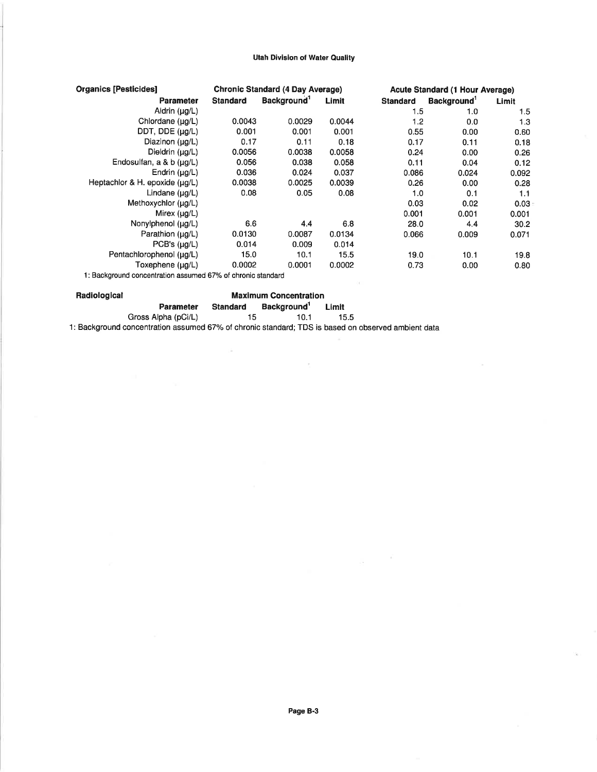#### **Utah Division of Water Quality**

| <b>Organics [Pesticides]</b>                                |                 | <b>Chronic Standard (4 Day Average)</b> |        |                 | <b>Acute Standard (1 Hour Average)</b> |       |
|-------------------------------------------------------------|-----------------|-----------------------------------------|--------|-----------------|----------------------------------------|-------|
| Parameter                                                   | <b>Standard</b> | Background <sup>1</sup>                 | Limit  | <b>Standard</b> | Background <sup>1</sup>                | Limit |
| Aldrin $(\mu q/L)$                                          |                 |                                         |        | 1.5             | 1.0                                    | 1.5   |
| Chlordane (µg/L)                                            | 0.0043          | 0.0029                                  | 0.0044 | 1.2             | 0.0                                    | 1.3   |
| DDT, DDE (µg/L)                                             | 0.001           | 0.001                                   | 0.001  | 0.55            | 0.00                                   | 0.60  |
| Diazinon (µg/L)                                             | 0.17            | 0.11                                    | 0.18   | 0.17            | 0.11                                   | 0.18  |
| Dieldrin (µg/L)                                             | 0.0056          | 0.0038                                  | 0.0058 | 0.24            | 0.00                                   | 0.26  |
| Endosulfan, a & b (µg/L)                                    | 0.056           | 0.038                                   | 0.058  | 0.11            | 0.04                                   | 0.12  |
| Endrin $(\mu q/L)$                                          | 0.036           | 0.024                                   | 0.037  | 0.086           | 0.024                                  | 0.092 |
| Heptachlor & H. epoxide (ug/L)                              | 0.0038          | 0.0025                                  | 0.0039 | 0.26            | 0.00                                   | 0.28  |
| Lindane (µg/L)                                              | 0.08            | 0.05                                    | 0.08   | 1.0             | 0.1                                    | 1.1   |
| Methoxychlor (µg/L)                                         |                 |                                         |        | 0.03            | 0.02                                   | 0.03  |
| Mirex $(\mu g/L)$                                           |                 |                                         |        | 0.001           | 0.001                                  | 0.001 |
| Nonylphenol (µg/L)                                          | 6.6             | 4.4                                     | 6.8    | 28.0            | 4.4                                    | 30.2  |
| Parathion (ug/L)                                            | 0.0130          | 0.0087                                  | 0.0134 | 0.066           | 0.009                                  | 0.071 |
| PCB's $(\mu g/L)$                                           | 0.014           | 0.009                                   | 0.014  |                 |                                        |       |
| Pentachlorophenol (µg/L)                                    | 15.0            | 10.1                                    | 15.5   | 19.0            | 10.1                                   | 19.8  |
| Toxephene (µg/L)                                            | 0.0002          | 0.0001                                  | 0.0002 | 0.73            | 0.00                                   | 0.80  |
| 1: Background concentration assumed 67% of chronic standard |                 |                                         |        |                 |                                        |       |

 $\bar{r}$ 

Radiological Maximum Concentration Parameter Standard Background<sup>1</sup> Limit Gross Alpha (pCi/L) **contracts** the congress of the distribution of the distribution of the distribution of the  $\frac{1}{15}$  of the distribution of the distribution of the distribution of the distribution of the distribution 1: Background concentration assumed 67% of chronic standard; TDS is based on observed ambient data

 $\tilde{\alpha}$